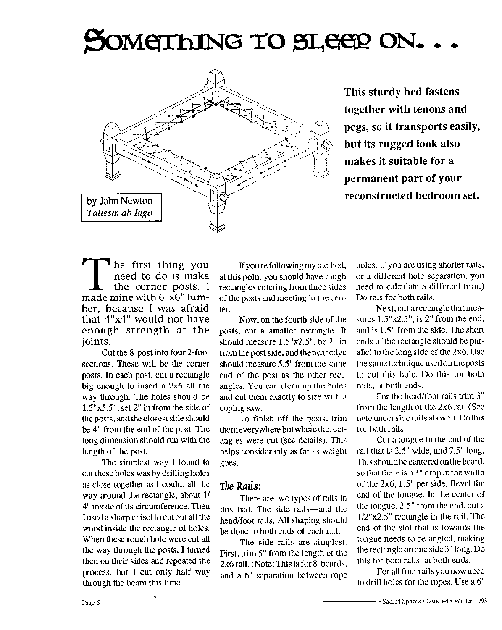# SOMETHING TO SLEEP ON.



This sturdy bed fastens together with tenons and pegs, so it transports easily, but its rugged look also makes it suitable for a permanent part of your reconstructed bedroom set.

he first thing you need to do is make the corner posts. I made mine with 6"x6" lumber, because I was afraid that 4"x4" would not have enough strength at the joints.

Cut the 8' post into four 2-foot sections. These will be the corner posts. In each post, cut a rectangle big enough to insert a 2x6 all the way through. The holes should be  $1.5"x5.5"$ , set 2" in from the side of the posts, and the closest side should be 4" from the end of the post. The long dimension should run with the length of the post.

The simplest way I found to cut these holes was by drilling holes as close together as I could, all the way around the rectangle, about 1/ 4" inside of its circumference. Then I used a sharp chisel to cut out all the wood inside the rectangle of holes. When these rough hole were cut all the way through the posts, I turned then on their sides and repeated the process, but I cut only half way through the beam this time.

If you're following my method, at this point you should have rough rectangles entering from three sides of the posts and meeting in the center.

Now, on the fourth side of the posts, cut a smaller rectangle. It should measure  $1.5"x2.5"$ , be  $2"$  in from the post side, and the near edge should measure 5.5" from the same end of the post as the other rectangles. You can clean up the holes and cut them exactly to size with a coping saw.

To finish off the posts, trim them everywhere but where the rectangles were cut (see details). This helps considerably as far as weight goes.

#### The Rails:

There are two types of rails in this bed. The side rails—and the head/foot rails. All shaping should be done to both ends of each rail.

The side rails are simplest. First, trim 5" from the length of the 2x6 rail. (Note: This is for 8' boards, and a 6" separation between rope

holes. If you are using shorter rails, or a different hole separation, you need to calculate a different trim.) Do this for both rails.

Next, cut a rectangle that measures  $1.5"x2.5"$ , is 2" from the end, and is 1.5" from the side. The short ends of the rectangle should be parallel to the long side of the 2x6. Use the same technique used on the posts to cut this hole. Do this for both rails, at both ends.

For the head/foot rails trim 3" from the length of the 2x6 rail (See note under side rails above.). Do this for both rails.

Cut a tongue in the end of the rail that is 2.5" wide, and 7.5" long. This should be centered on the board, so that there is a 3" drop in the width of the 2x6, 1.5" per side. Bevel the end of the tongue. In the center of the tongue, 2.5" from the end, cut a  $1/2$ "x2.5" rectangle in the rail. The end of the slot that is towards the tongue needs to be angled, making the rectangle on one side 3" long. Do this for both rails, at both ends.

For all four rails you now need to drill holes for the ropes. Use a 6"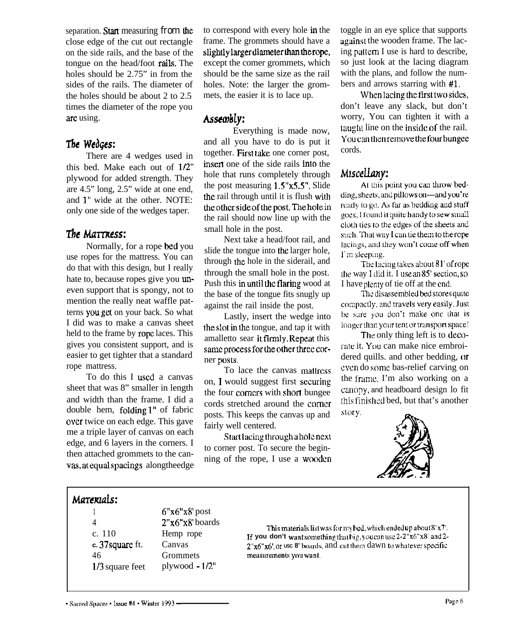separation. Start measuring from the close edge of the cut out rectangle on the side rails, and the base of the tongue on the head/foot rails. The holes should be 2.75" in from the sides of the rails. The diameter of the holes should be about 2 to 2.5 times the diameter of the rope you are using.

# The Wedges:

There are 4 wedges used in this bed. Make each out of l/2" plywood for added strength. They are 4.5" long, 2.5" wide at one end, and 1" wide at the other. NOTE: only one side of the wedges taper.

### The Mattress:

Normally, for a rope bed you use ropes for the mattress. You can do that with this design, but I really hate to, because ropes give you uneven support that is spongy, not to mention the really neat waffle patterns youget on your back. So what I did was to make a canvas sheet held to the frame by rope laces. This gives you consistent support, and is easier to get tighter that a standard rope mattress.

To do this I used a canvas sheet that was 8" smaller in length and width than the frame. I did a double hem, folding 1" of fabric over twice on each edge. This gave me a triple layer of canvas on each edge, and 6 layers in the corners. I to corner post. To secure the begin-<br>then attached grommets to the can-<br>ning of the rope, I use a wooden vas, at equal spacings along the edge

to correspond with every hole in the frame. The grommets should have a slightly larger diameter than the rope, except the comer grommets, which should be the same size as the rail holes. Note: the larger the grommets, the easier it is to lace up.

### Assembly:

Everything is made now, and all you have to do is put it together. Fist take one corner post, insert one of the side rails into the hole that runs completely through the post measuring 1.5"x5.5". Slide the rail through until it is flush with the other side of the post. The hole in the rail should now line up with the small hole in the post.

Next take a head/foot rail, and slide the tongue into the larger hole, through the hole in the siderail, and through the small hole in the post. Push this in until the flaring wood at the base of the tongue fits snugly up against the rail inside the post.

Lastly, insert the wedge into the slot in the tongue, and tap it with amalletto sear it firmly. Repeat this same process for the other three corner posts.

To lace the canvas mallrcss on, 1 would suggest first securing the four corners with short bungee cords stretched around the corner posts. This keeps the canvas up and story. fairly well centered.

Start lacing through a hole next

toggle in an eye splice that supports againsl the wooden frame. The lacing pallcm I use is hard to describe, so just look at the lacing diagram with the plans, and follow the numbers and arrows starring with #l.

When lacing the first two sides, don't leave any slack, but don't worry, You can tighten it with a taught line on the inside of the rail. Youcanthenremovethefourbungee cords.

### Miscellany:

At this point you can throw bedding, sheets, and pillows on—and you're ready to go. As far as bedding and stuff goes, I found it quite handy to sew small cloth ties to the edges of the sheets and such. That way I can tie them to the rope lacings, and they won't come off when I'm sleeping.

The lacing takes about  $81'$  of rope the way I did it. I use an  $85'$  section, so I have plenty of tie off at the end.

The disassembled bed stores quite compactly, and travels very easily. Just be sure you don't make one that is longer than your tent or transport space!

The only thing left is to decorate it. You can make nice embroidered quills. and other bedding, or even do some bas-relief carving on the Irame. I'm also working on a ciumpy, and headboard design lo fit [his rinished bed, but that's another



# Marexials:

c. 110 Hemp rope **c.** 37square ft. Canvas

1 6" $x6"x8'$  post 4 Z'x6"xR' boards  $1/3$  square feet plywood  $-1/2$ "

l'his materials list was for my bed, which ended up about 8'x7'. **If you don't want somsthing filat big. you cm use 2.Z"x6"xS'snd 2- 2"~6?~6', DI USC 8'** boards, and CUT thrm dawn (u whataver spcific 46 Grommets measurements you want.